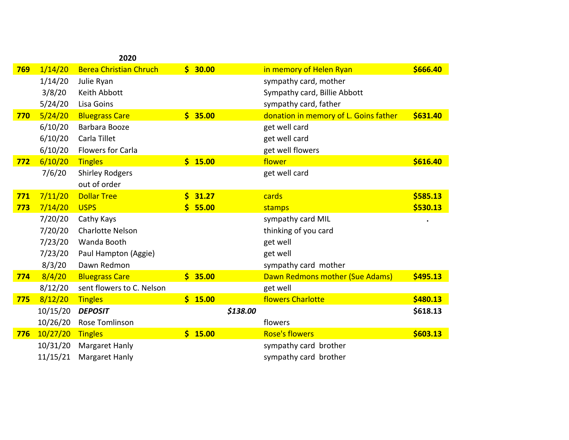|     |          | 2020                          |                      |         |          |                                       |          |
|-----|----------|-------------------------------|----------------------|---------|----------|---------------------------------------|----------|
| 769 | 1/14/20  | <b>Berea Christian Chruch</b> |                      | \$30.00 |          | in memory of Helen Ryan               | \$666.40 |
|     | 1/14/20  | Julie Ryan                    |                      |         |          | sympathy card, mother                 |          |
|     | 3/8/20   | Keith Abbott                  |                      |         |          | Sympathy card, Billie Abbott          |          |
|     | 5/24/20  | Lisa Goins                    |                      |         |          | sympathy card, father                 |          |
| 770 | 5/24/20  | <b>Bluegrass Care</b>         |                      | \$35.00 |          | donation in memory of L. Goins father | \$631.40 |
|     | 6/10/20  | Barbara Booze                 |                      |         |          | get well card                         |          |
|     | 6/10/20  | Carla Tillet                  |                      |         |          | get well card                         |          |
|     | 6/10/20  | Flowers for Carla             |                      |         |          | get well flowers                      |          |
| 772 | 6/10/20  | <b>Tingles</b>                |                      | \$15.00 |          | flower                                | \$616.40 |
|     | 7/6/20   | <b>Shirley Rodgers</b>        |                      |         |          | get well card                         |          |
|     |          | out of order                  |                      |         |          |                                       |          |
| 771 | 7/11/20  | <b>Dollar Tree</b>            | $\boldsymbol{\zeta}$ | 31.27   |          | cards                                 | \$585.13 |
| 773 | 7/14/20  | <b>USPS</b>                   |                      | \$55.00 |          | stamps                                | \$530.13 |
|     | 7/20/20  | Cathy Kays                    |                      |         |          | sympathy card MIL                     |          |
|     | 7/20/20  | <b>Charlotte Nelson</b>       |                      |         |          | thinking of you card                  |          |
|     | 7/23/20  | Wanda Booth                   |                      |         |          | get well                              |          |
|     | 7/23/20  | Paul Hampton (Aggie)          |                      |         |          | get well                              |          |
|     | 8/3/20   | Dawn Redmon                   |                      |         |          | sympathy card mother                  |          |
| 774 | 8/4/20   | <b>Bluegrass Care</b>         |                      | \$35.00 |          | Dawn Redmons mother (Sue Adams)       | \$495.13 |
|     | 8/12/20  | sent flowers to C. Nelson     |                      |         |          | get well                              |          |
| 775 | 8/12/20  | <b>Tingles</b>                |                      | \$15.00 |          | flowers Charlotte                     | \$480.13 |
|     | 10/15/20 | <b>DEPOSIT</b>                |                      |         | \$138.00 |                                       | \$618.13 |
|     | 10/26/20 | <b>Rose Tomlinson</b>         |                      |         |          | flowers                               |          |
| 776 | 10/27/20 | <b>Tingles</b>                |                      | \$15.00 |          | <b>Rose's flowers</b>                 | \$603.13 |
|     | 10/31/20 | Margaret Hanly                |                      |         |          | sympathy card brother                 |          |
|     | 11/15/21 | Margaret Hanly                |                      |         |          | sympathy card brother                 |          |